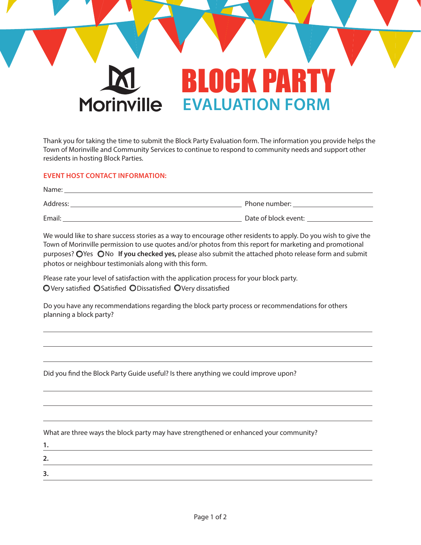

Thank you for taking the time to submit the Block Party Evaluation form. The information you provide helps the Town of Morinville and Community Services to continue to respond to community needs and support other residents in hosting Block Parties.

## **EVENT HOST CONTACT INFORMATION:**

| Name:    |                      |
|----------|----------------------|
| Address: | Phone number:        |
| Email:   | Date of block event: |

We would like to share success stories as a way to encourage other residents to apply. Do you wish to give the Town of Morinville permission to use quotes and/or photos from this report for marketing and promotional purposes? OYes ONo If you checked yes, please also submit the attached photo release form and submit photos or neighbour testimonials along with this form.

Please rate your level of satisfaction with the application process for your block party.  $\bigcirc$  Very satisfied  $\bigcirc$  Satisfied  $\bigcirc$  Dissatisfied  $\bigcirc$  Very dissatisfied

Do you have any recommendations regarding the block party process or recommendations for others planning a block party?

Did you find the Block Party Guide useful? Is there anything we could improve upon?

What are three ways the block party may have strengthened or enhanced your community?

| ∽<br>. . |  |  |  |
|----------|--|--|--|
| ∍        |  |  |  |
|          |  |  |  |